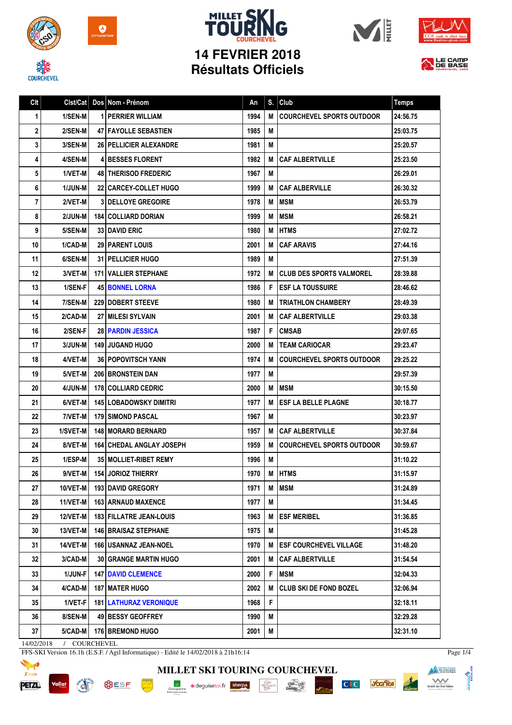

**COURCHEVEL** 



## **MILLET SKI 14 FEVRIER 2018 Résultats Officiels**







| Clt | Clst/Cat       |   | Dos Nom - Prénom                  | An   | S. | Club                             | <b>Temps</b> |
|-----|----------------|---|-----------------------------------|------|----|----------------------------------|--------------|
| 1   | 1/SEN-M        | 1 | I PERRIER WILLIAM                 | 1994 | M  | <b>COURCHEVEL SPORTS OUTDOOR</b> | 24:56.75     |
| 2   | 2/SEN-M        |   | 47   FAYOLLE SEBASTIEN            | 1985 | M  |                                  | 25:03.75     |
| 3   | 3/SEN-M        |   | <b>26   PELLICIER ALEXANDRE</b>   | 1981 | M  |                                  | 25:20.57     |
| 4   | 4/SEN-M        |   | <b>4 BESSES FLORENT</b>           | 1982 | M  | <b>CAF ALBERTVILLE</b>           | 25:23.50     |
| 5   | 1/VET-M        |   | <b>48 THERISOD FREDERIC</b>       | 1967 | M  |                                  | 26:29.01     |
| 6   | <b>1/JUN-M</b> |   | <b>22 CARCEY-COLLET HUGO</b>      | 1999 | M  | <b>CAF ALBERVILLE</b>            | 26:30.32     |
| 7   | 2/VET-M        |   | <b>3 DELLOYE GREGOIRE</b>         | 1978 | M  | <b>MSM</b>                       | 26:53.79     |
| 8   | 2/JUN-M        |   | <b>184   COLLIARD DORIAN</b>      | 1999 | M  | <b>MSM</b>                       | 26:58.21     |
| 9   | 5/SEN-M        |   | <b>33 DAVID ERIC</b>              | 1980 | M  | <b>HTMS</b>                      | 27:02.72     |
| 10  | 1/CAD-M        |   | <b>29   PARENT LOUIS</b>          | 2001 | M  | <b>CAF ARAVIS</b>                | 27:44.16     |
| 11  | 6/SEN-M        |   | <b>31   PELLICIER HUGO</b>        | 1989 | M  |                                  | 27:51.39     |
| 12  | 3/VET-M        |   | <b>171 VALLIER STEPHANE</b>       | 1972 | M  | <b>CLUB DES SPORTS VALMOREL</b>  | 28:39.88     |
| 13  | 1/SEN-F        |   | <b>45 BONNEL LORNA</b>            | 1986 | F  | I ESF LA TOUSSUIRE               | 28:46.62     |
| 14  | 7/SEN-M        |   | <b>229 DOBERT STEEVE</b>          | 1980 | М  | <b>TRIATHLON CHAMBERY</b>        | 28:49.39     |
| 15  | 2/CAD-M        |   | <b>27 I MILESI SYLVAIN</b>        | 2001 | м  | <b>CAF ALBERTVILLE</b>           | 29:03.38     |
| 16  | 2/SEN-F        |   | 28 PARDIN JESSICA                 | 1987 | F  | <b>CMSAB</b>                     | 29:07.65     |
| 17  | <b>3/JUN-M</b> |   | <b>149 JUGAND HUGO</b>            | 2000 | M  | <b>TEAM CARIOCAR</b>             | 29:23.47     |
| 18  | 4/VET-M        |   | <b>36 POPOVITSCH YANN</b>         | 1974 | M  | <b>COURCHEVEL SPORTS OUTDOOR</b> | 29:25.22     |
| 19  | 5/VET-M        |   | <b>206 BRONSTEIN DAN</b>          | 1977 | M  |                                  | 29:57.39     |
| 20  | 4/JUN-M        |   | 178   COLLIARD CEDRIC             | 2000 | M  | <b>MSM</b>                       | 30:15.50     |
| 21  | 6/VET-M        |   | 145   LOBADOWSKY DIMITRI          | 1977 | M  | <b>ESF LA BELLE PLAGNE</b>       | 30:18.77     |
| 22  | 7/VET-M        |   | <b>179 SIMOND PASCAL</b>          | 1967 | M  |                                  | 30:23.97     |
| 23  | 1/SVET-M       |   | <b>148   MORARD BERNARD</b>       | 1957 | М  | CAF ALBERTVILLE                  | 30:37.84     |
| 24  | 8/VET-M        |   | <b>164   CHEDAL ANGLAY JOSEPH</b> | 1959 | M  | <b>COURCHEVEL SPORTS OUTDOOR</b> | 30:59.67     |
| 25  | 1/ESP-M        |   | 35   MOLLIET-RIBET REMY           | 1996 | M  |                                  | 31:10.22     |
| 26  | 9/VET-MI       |   | <b>154 JORIOZ THIERRY</b>         | 1970 | M  | <b>HTMS</b>                      | 31:15.97     |
| 27  | $10/VET-M$     |   | 193 DAVID GREGORY                 | 1971 | M  | <b>MSM</b>                       | 31:24.89     |
| 28  | 11/VET-M       |   | 163 ARNAUD MAXENCE                | 1977 | M  |                                  | 31:34.45     |
| 29  | 12/VET-M       |   | 183 FILLATRE JEAN-LOUIS           | 1963 | M  | <b>ESF MERIBEL</b>               | 31:36.85     |
| 30  | 13/VET-M       |   | <b>146 BRAISAZ STEPHANE</b>       | 1975 | M  |                                  | 31:45.28     |
| 31  | 14/VET-M       |   | <b>166   USANNAZ JEAN-NOEL</b>    | 1970 | M  | <b>ESF COURCHEVEL VILLAGE</b>    | 31:48.20     |
| 32  | 3/CAD-M        |   | <b>30 GRANGE MARTIN HUGO</b>      | 2001 | M  | <b>CAF ALBERTVILLE</b>           | 31:54.54     |
| 33  | 1/JUN-F        |   | <b>147 DAVID CLEMENCE</b>         | 2000 | F  | <b>MSM</b>                       | 32:04.33     |
| 34  | 4/CAD-M        |   | <b>187 I MATER HUGO</b>           | 2002 | M  | <b>CLUB SKI DE FOND BOZEL</b>    | 32:06.94     |
| 35  | 1/VET-F        |   | <b>181   LATHURAZ VERONIQUE</b>   | 1968 | F  |                                  | 32:18.11     |
| 36  | 8/SEN-M        |   | 49 BESSY GEOFFREY                 | 1990 | M  |                                  | 32:29.28     |
| 37  | $5/CAD-M$      |   | <b>176 BREMOND HUGO</b>           | 2001 | M  |                                  | 32:31.10     |

14/02/2018 / COURCHEVEL

**RIVERS** 

FFS-SKI Version 16.1h (E.S.F. / Agil Informatique) - Edité le 14/02/2018 à 21h16:14



**BUSF** 

**MILLET SKI TOURING COURCHEVEL** Groupama **a**deguisetoi.fr **sherpa**  $\frac{\text{chez}}{\text{Cauchy}}$  $\begin{array}{c}\n\hline\n\text{I}_{\text{A}}\text{J}_{\text{A}}\text{BU} \\
\text{M2} \text{CAVD} \\
\text{PER} \n\end{array}$ 

C<sub>IC</sub> you'lea



Page 1/4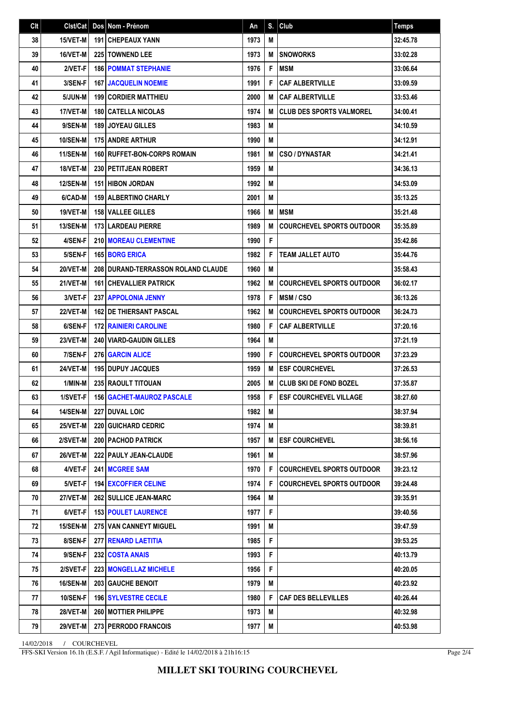| C <sub>It</sub> | Clst/Cat        | Dos Nom - Prénom                          | An   |   | $S.$ Club                        | <b>Temps</b> |
|-----------------|-----------------|-------------------------------------------|------|---|----------------------------------|--------------|
| 38              | 15/VET-M        | <b>191 CHEPEAUX YANN</b>                  | 1973 | M |                                  | 32:45.78     |
| 39              | 16/VET-M        | 225 TOWNEND LEE                           | 1973 | M | <b>SNOWORKS</b>                  | 33:02.28     |
| 40              | 2/VET-F         | <b>186 POMMAT STEPHANIE</b>               | 1976 | F | <b>MSM</b>                       | 33:06.64     |
| 41              | 3/SEN-F         | <b>167 JACQUELIN NOEMIE</b>               | 1991 | F | <b>CAF ALBERTVILLE</b>           | 33:09.59     |
| 42              | 5/JUN-M         | <b>199 CORDIER MATTHIEU</b>               | 2000 | M | <b>CAF ALBERTVILLE</b>           | 33:53.46     |
| 43              | <b>17/VET-M</b> | <b>180 CATELLA NICOLAS</b>                | 1974 | M | <b>CLUB DES SPORTS VALMOREL</b>  | 34:00.41     |
| 44              | 9/SEN-M         | 189 JOYEAU GILLES                         | 1983 | M |                                  | 34:10.59     |
| 45              | <b>10/SEN-M</b> | <b>175 ANDRE ARTHUR</b>                   | 1990 | M |                                  | 34:12.91     |
| 46              | 11/SEN-M        | 160 RUFFET-BON-CORPS ROMAIN               | 1981 | M | <b>CSO / DYNASTAR</b>            | 34:21.41     |
| 47              | 18/VET-M        | 230 PETITJEAN ROBERT                      | 1959 | M |                                  | 34:36.13     |
| 48              | <b>12/SEN-M</b> | <b>151 HIBON JORDAN</b>                   | 1992 | M |                                  | 34:53.09     |
| 49              | 6/CAD-M         | <b>159 ALBERTINO CHARLY</b>               | 2001 | M |                                  | 35:13.25     |
| 50              | 19/VET-M        | <b>158 VALLEE GILLES</b>                  | 1966 | M | <b>MSM</b>                       | 35:21.48     |
| 51              | <b>13/SEN-M</b> | <b>173 LARDEAU PIERRE</b>                 | 1989 | M | <b>COURCHEVEL SPORTS OUTDOOR</b> | 35:35.89     |
| 52              | 4/SEN-F         | <b>210 MOREAU CLEMENTINE</b>              | 1990 | F |                                  | 35:42.86     |
| 53              | 5/SEN-F         | <b>165 BORG ERICA</b>                     | 1982 | F | <b>TEAM JALLET AUTO</b>          | 35:44.76     |
| 54              | 20/VET-M        | <b>208 DURAND-TERRASSON ROLAND CLAUDE</b> | 1960 | M |                                  | 35:58.43     |
| 55              | 21/VET-M        | <b>161 CHEVALLIER PATRICK</b>             | 1962 | M | <b>COURCHEVEL SPORTS OUTDOOR</b> | 36:02.17     |
| 56              | 3/VET-F         | <b>237 APPOLONIA JENNY</b>                | 1978 | F | <b>MSM/CSO</b>                   | 36:13.26     |
| 57              | 22/VET-M        | 162 DE THIERSANT PASCAL                   | 1962 | M | <b>COURCHEVEL SPORTS OUTDOOR</b> | 36:24.73     |
| 58              | 6/SEN-F         | <b>172 RAINIERI CAROLINE</b>              | 1980 | F | <b>CAF ALBERTVILLE</b>           | 37:20.16     |
| 59              | 23/VET-M        | <b>240 VIARD-GAUDIN GILLES</b>            | 1964 | M |                                  | 37:21.19     |
| 60              | 7/SEN-F         | <b>276 GARCIN ALICE</b>                   | 1990 | F | <b>COURCHEVEL SPORTS OUTDOOR</b> | 37:23.29     |
| 61              | 24/VET-M        | <b>195 DUPUY JACQUES</b>                  | 1959 | M | <b>ESF COURCHEVEL</b>            | 37:26.53     |
| 62              | 1/MIN-M         | 235 RAOULT TITOUAN                        | 2005 | M | <b>CLUB SKI DE FOND BOZEL</b>    | 37:35.87     |
| 63              | 1/SVET-F        | <b>156   GACHET-MAUROZ PASCALE</b>        | 1958 | F | <b>ESF COURCHEVEL VILLAGE</b>    | 38:27.60     |
| 64              | <b>14/SEN-M</b> | 227 DUVAL LOIC                            | 1982 | M |                                  | 38:37.94     |
| 65              | <b>25/VET-M</b> | <b>220 GUICHARD CEDRIC</b>                | 1974 | М |                                  | 38:39.81     |
| 66              | 2/SVET-M        | 200 PACHOD PATRICK                        | 1957 | M | <b>ESF COURCHEVEL</b>            | 38:56.16     |
| 67              | <b>26/VET-M</b> | 222 PAULY JEAN-CLAUDE                     | 1961 | M |                                  | 38:57.96     |
| 68              | 4/VET-F         | 241 MCGREE SAM                            | 1970 | F | <b>COURCHEVEL SPORTS OUTDOOR</b> | 39:23.12     |
| 69              | 5/VET-F         | <b>194 EXCOFFIER CELINE</b>               | 1974 | F | <b>COURCHEVEL SPORTS OUTDOOR</b> | 39:24.48     |
| 70              | <b>27/VET-M</b> | 262 SULLICE JEAN-MARC                     | 1964 | M |                                  | 39:35.91     |
| 71              | 6/VET-F         | <b>153 POULET LAURENCE</b>                | 1977 | F |                                  | 39:40.56     |
| 72              | 15/SEN-M        | <b>275 VAN CANNEYT MIGUEL</b>             | 1991 | M |                                  | 39:47.59     |
| 73              | 8/SEN-F         | 277 RENARD LAETITIA                       | 1985 | F |                                  | 39:53.25     |
| 74              | 9/SEN-F         | 232 COSTA ANAIS                           | 1993 | F |                                  | 40:13.79     |
| 75              | 2/SVET-F        | <b>223   MONGELLAZ MICHELE</b>            | 1956 | F |                                  | 40:20.05     |
| 76              | <b>16/SEN-M</b> | <b>203 GAUCHE BENOIT</b>                  | 1979 | M |                                  | 40:23.92     |
| 77              | 10/SEN-F        | <b>196 SYLVESTRE CECILE</b>               | 1980 | F | <b>CAF DES BELLEVILLES</b>       | 40:26.44     |
| 78              | <b>28/VET-M</b> | <b>260 I MOTTIER PHILIPPE</b>             | 1973 | M |                                  | 40:32.98     |
| 79              | <b>29/VET-M</b> | 273 PERRODO FRANCOIS                      | 1977 | M |                                  | 40:53.98     |

14/02/2018 / COURCHEVEL

FFS-SKI Version 16.1h (E.S.F. / Agil Informatique) - Edité le 14/02/2018 à 21h16:15

Page 2/4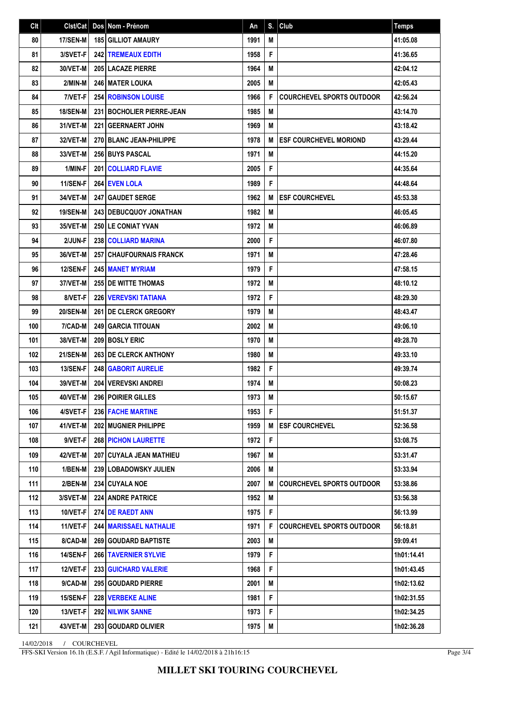| C <sub>It</sub> | Clst/Cat        | Dos Nom - Prénom               | An   |   | $S.$ Club                        | <b>Temps</b> |
|-----------------|-----------------|--------------------------------|------|---|----------------------------------|--------------|
| 80              | 17/SEN-M        | <b>185 GILLIOT AMAURY</b>      | 1991 | M |                                  | 41:05.08     |
| 81              | 3/SVET-F        | <b>242 TREMEAUX EDITH</b>      | 1958 | F |                                  | 41:36.65     |
| 82              | 30/VET-M        | 205 LACAZE PIERRE              | 1964 | M |                                  | 42:04.12     |
| 83              | 2/MIN-M         | <b>246 MATER LOUKA</b>         | 2005 | M |                                  | 42:05.43     |
| 84              | 7/VET-F         | <b>254 ROBINSON LOUISE</b>     | 1966 | F | <b>COURCHEVEL SPORTS OUTDOOR</b> | 42:56.24     |
| 85              | <b>18/SEN-M</b> | 231 BOCHOLIER PIERRE-JEAN      | 1985 | M |                                  | 43:14.70     |
| 86              | 31/VET-M        | <b>221 GEERNAERT JOHN</b>      | 1969 | M |                                  | 43:18.42     |
| 87              | 32/VET-M        | 270 BLANC JEAN-PHILIPPE        | 1978 | M | <b>ESF COURCHEVEL MORIOND</b>    | 43:29.44     |
| 88              | 33/VET-M        | 256 BUYS PASCAL                | 1971 | M |                                  | 44:15.20     |
| 89              | 1/MIN-F         | <b>201 COLLIARD FLAVIE</b>     | 2005 | F |                                  | 44:35.64     |
| 90              | 11/SEN-F        | 264 EVEN LOLA                  | 1989 | F |                                  | 44:48.64     |
| 91              | 34/VET-M        | <b>247   GAUDET SERGE</b>      | 1962 | M | <b>ESF COURCHEVEL</b>            | 45:53.38     |
| 92              | <b>19/SEN-M</b> | <b>243 DEBUCQUOY JONATHAN</b>  | 1982 | M |                                  | 46:05.45     |
| 93              | 35/VET-M        | <b>250 LE CONIAT YVAN</b>      | 1972 | M |                                  | 46:06.89     |
| 94              | 2/JUN-F         | <b>238 COLLIARD MARINA</b>     | 2000 | F |                                  | 46:07.80     |
| 95              | 36/VET-M        | <b>257 CHAUFOURNAIS FRANCK</b> | 1971 | M |                                  | 47:28.46     |
| 96              | 12/SEN-F        | 245 MANET MYRIAM               | 1979 | F |                                  | 47:58.15     |
| 97              | 37/VET-M        | <b>255 DE WITTE THOMAS</b>     | 1972 | M |                                  | 48:10.12     |
| 98              | 8/VET-F         | <b>226 VEREVSKI TATIANA</b>    | 1972 | F |                                  | 48:29.30     |
| 99              | <b>20/SEN-M</b> | <b>261 IDE CLERCK GREGORY</b>  | 1979 | M |                                  | 48:43.47     |
| 100             | 7/CAD-M         | <b>249 GARCIA TITOUAN</b>      | 2002 | M |                                  | 49:06.10     |
| 101             | 38/VET-M        | 209 BOSLY ERIC                 | 1970 | M |                                  | 49:28.70     |
| 102             | <b>21/SEN-M</b> | 263 DE CLERCK ANTHONY          | 1980 | M |                                  | 49:33.10     |
| 103             | 13/SEN-F        | <b>248 GABORIT AURELIE</b>     | 1982 | F |                                  | 49:39.74     |
| 104             | 39/VET-M        | <b>204   VEREVSKI ANDREI</b>   | 1974 | M |                                  | 50:08.23     |
| 105             | 40/VET-M        | 296 POIRIER GILLES             | 1973 | M |                                  | 50:15.67     |
| 106             | 4/SVET-F        | 236 FACHE MARTINE              | 1953 | F |                                  | 51:51.37     |
| 107             | 41/VET-M        | 202 MUGNIER PHILIPPE           | 1959 | M | <b>ESF COURCHEVEL</b>            | 52:36.58     |
| 108             | 9/VET-F         | <b>268 PICHON LAURETTE</b>     | 1972 | F |                                  | 53:08.75     |
| 109             | 42/VET-M        | 207 CUYALA JEAN MATHIEU        | 1967 | M |                                  | 53:31.47     |
| 110             | 1/BEN-M         | 239 LOBADOWSKY JULIEN          | 2006 | M |                                  | 53:33.94     |
| 111             | 2/BEN-M         | 234 CUYALA NOE                 | 2007 | M | <b>COURCHEVEL SPORTS OUTDOOR</b> | 53:38.86     |
| 112             | 3/SVET-M        | <b>224 ANDRE PATRICE</b>       | 1952 | M |                                  | 53:56.38     |
| 113             | 10/VET-F        | 274 DE RAEDT ANN               | 1975 | F |                                  | 56:13.99     |
| 114             | 11/VET-F        | <b>244 MARISSAEL NATHALIE</b>  | 1971 | F | <b>COURCHEVEL SPORTS OUTDOOR</b> | 56:18.81     |
| 115             | 8/CAD-M         | <b>269   GOUDARD BAPTISTE</b>  | 2003 | M |                                  | 59:09.41     |
| 116             | 14/SEN-F        | <b>266 TAVERNIER SYLVIE</b>    | 1979 | F |                                  | 1h01:14.41   |
| 117             | 12/VET-F        | 233 GUICHARD VALERIE           | 1968 | F |                                  | 1h01:43.45   |
| 118             | 9/CAD-M         | 295 GOUDARD PIERRE             | 2001 | M |                                  | 1h02:13.62   |
| 119             | 15/SEN-F        | 228 VERBEKE ALINE              | 1981 | F |                                  | 1h02:31.55   |
| 120             | 13/VET-F        | <b>292 NILWIK SANNE</b>        | 1973 | F |                                  | 1h02:34.25   |
| 121             | 43/VET-M        | 293 GOUDARD OLIVIER            | 1975 | M |                                  | 1h02:36.28   |

14/02/2018 / COURCHEVEL

FFS-SKI Version 16.1h (E.S.F. / Agil Informatique) - Edité le 14/02/2018 à 21h16:15

Page 3/4